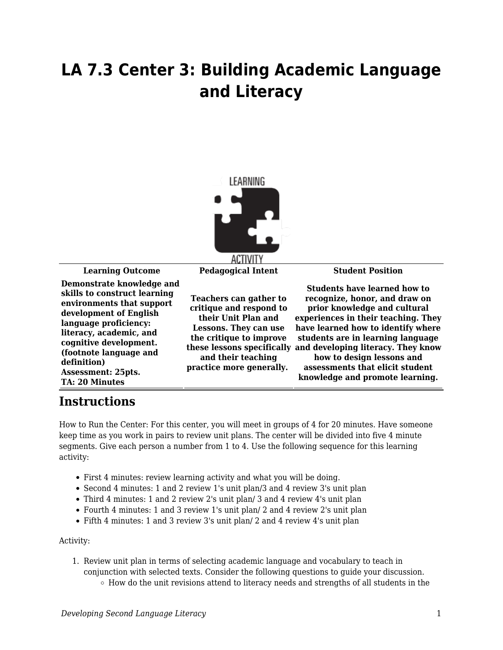## **LA 7.3 Center 3: Building Academic Language and Literacy**



**Demonstrate knowledge and skills to construct learning environments that support development of English language proficiency: literacy, academic, and cognitive development. (footnote language and Assessment: 25pts. Teachers can gather to critique and respond to their Unit Plan and Lessons. They can use the critique to improve and their teaching practice more generally.** 

**Learning Outcome Pedagogical Intent Student Position**

**these lessons specifically and developing literacy. They know Students have learned how to recognize, honor, and draw on prior knowledge and cultural experiences in their teaching. They have learned how to identify where students are in learning language how to design lessons and assessments that elicit student knowledge and promote learning.**

## **Instructions**

**TA: 20 Minutes**

**definition)**

How to Run the Center: For this center, you will meet in groups of 4 for 20 minutes. Have someone keep time as you work in pairs to review unit plans. The center will be divided into five 4 minute segments. Give each person a number from 1 to 4. Use the following sequence for this learning activity:

- First 4 minutes: review learning activity and what you will be doing.
- Second 4 minutes: 1 and 2 review 1's unit plan/3 and 4 review 3's unit plan
- Third 4 minutes: 1 and 2 review 2's unit plan/ 3 and 4 review 4's unit plan
- Fourth 4 minutes: 1 and 3 review 1's unit plan/ 2 and 4 review 2's unit plan
- Fifth 4 minutes: 1 and 3 review 3's unit plan/ 2 and 4 review 4's unit plan

## Activity:

- 1. Review unit plan in terms of selecting academic language and vocabulary to teach in conjunction with selected texts. Consider the following questions to guide your discussion.
	- $\circ$  How do the unit revisions attend to literacy needs and strengths of all students in the